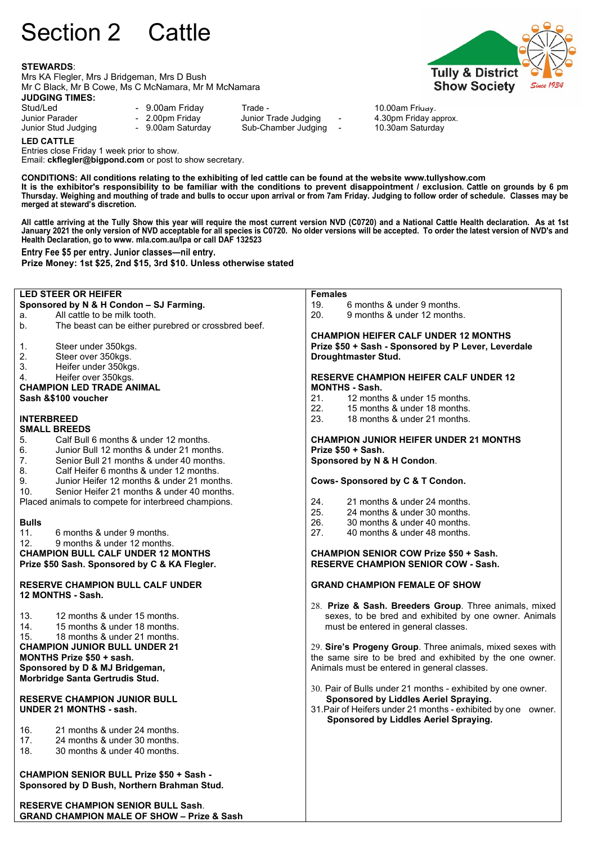# Section 2 Cattle

#### **STEWARDS**:

Mrs KA Flegler, Mrs J Bridgeman, Mrs D Bush Mr C Black, Mr B Cowe, Ms C McNamara, Mr M McNamara



Stud/Led - 9.00am Friday - Trade - 10.00am Friday.<br>
Junior Parader - 2.00pm Friday - 10.000m Friday and the Studies - 1.30pm Friday a

Junior Parader - 2.00pm Friday Junior Trade Judging - 4.30pm Friday approx. Sub-Chamber Judging



**LED CATTLE** Entries close Friday 1 week prior to show.

Email: **ckflegler@bigpond.com** or post to show secretary.

**CONDITIONS: All conditions relating to the exhibiting of led cattle can be found at the website www.tullyshow.com It is the exhibitor's responsibility to be familiar with the conditions to prevent disappointment / exclusion. Cattle on grounds by 6 pm Thursday. Weighing and mouthing of trade and bulls to occur upon arrival or from 7am Friday. Judging to follow order of schedule. Classes may be merged at steward's discretion.**

**All cattle arriving at the Tully Show this year will require the most current version NVD (C0720) and a National Cattle Health declaration. As at 1st January 2021 the only version of NVD acceptable for all species is C0720. No older versions will be accepted. To order the latest version of NVD's and Health Declaration, go to www. mla.com.au/lpa or call DAF 132523**

**Entry Fee \$5 per entry. Junior classes—nil entry.**

**GRAND CHAMPION MALE OF SHOW – Prize & Sash**

**Prize Money: 1st \$25, 2nd \$15, 3rd \$10. Unless otherwise stated** 

**LED STEER OR HEIFER Sponsored by N & H Condon – SJ Farming.** a. All cattle to be milk tooth.<br>b The beast can be either n The beast can be either purebred or crossbred beef. 1. Steer under 350kgs. 2. Steer over 350kgs.<br>3. Heifer under 350kg  $\frac{3}{4}$  Heifer under 350kgs.<br>4 Heifer over 350kgs. Heifer over 350kgs. **CHAMPION LED TRADE ANIMAL Sash &\$100 voucher INTERBREED SMALL BREEDS**<br>5. Calf Bull 5. Calf Bull 6 months & under 12 months. Junior Bull 12 months & under 21 months. 7. Senior Bull 21 months & under 40 months.<br>8. Calf Heifer 6 months & under 12 months. 8. Calf Heifer 6 months & under 12 months.<br>9. Junior Heifer 12 months & under 21 mont 9. Junior Heifer 12 months & under 21 months.<br>10 Senior Heifer 21 months & under 40 months Senior Heifer 21 months & under 40 months. Placed animals to compete for interbreed champions. **Bulls** 11. 6 months & under 9 months.<br>12 9 months & under 12 months 9 months & under 12 months. **CHAMPION BULL CALF UNDER 12 MONTHS Prize \$50 Sash. Sponsored by C & KA Flegler. RESERVE CHAMPION BULL CALF UNDER 12 MONTHS - Sash.** 13. 12 months & under 15 months. 14. 15 months & under 18 months. 15. 18 months & under 21 months. **CHAMPION JUNIOR BULL UNDER 21 MONTHS Prize \$50 + sash. Sponsored by D & MJ Bridgeman, Morbridge Santa Gertrudis Stud. RESERVE CHAMPION JUNIOR BULL UNDER 21 MONTHS - sash.** 16. 21 months & under 24 months.<br>17. 24 months & under 30 months. 17. 24 months & under 30 months.<br>18. 30 months & under 40 months. 30 months & under 40 months. **CHAMPION SENIOR BULL Prize \$50 + Sash - Sponsored by D Bush, Northern Brahman Stud. RESERVE CHAMPION SENIOR BULL Sash**. **Females** 19. 6 months & under 9 months.<br>20. 9 months & under 12 months 9 months & under 12 months. **CHAMPION HEIFER CALF UNDER 12 MONTHS Prize \$50 + Sash - Sponsored by P Lever, Leverdale Droughtmaster Stud. RESERVE CHAMPION HEIFER CALF UNDER 12 MONTHS - Sash.** 21. 12 months & under 15 months. 22. 15 months & under 18 months. 23. 18 months & under 21 months. **CHAMPION JUNIOR HEIFER UNDER 21 MONTHS Prize \$50 + Sash. Sponsored by N & H Condon**. **Cows- Sponsored by C & T Condon.** 24. 21 months & under 24 months.<br>25. 24 months & under 30 months. 24 months & under 30 months. 26. 30 months & under 40 months.<br>27. 40 months & under 48 months. 40 months & under 48 months. **CHAMPION SENIOR COW Prize \$50 + Sash. RESERVE CHAMPION SENIOR COW - Sash. GRAND CHAMPION FEMALE OF SHOW**  28. **Prize & Sash. Breeders Group**. Three animals, mixed sexes, to be bred and exhibited by one owner. Animals must be entered in general classes. 29. **Sire's Progeny Group**. Three animals, mixed sexes with the same sire to be bred and exhibited by the one owner. Animals must be entered in general classes. 30. Pair of Bulls under 21 months - exhibited by one owner.  **Sponsored by Liddles Aeriel Spraying.** 31.Pair of Heifers under 21 months - exhibited by one owner. **Sponsored by Liddles Aeriel Spraying.**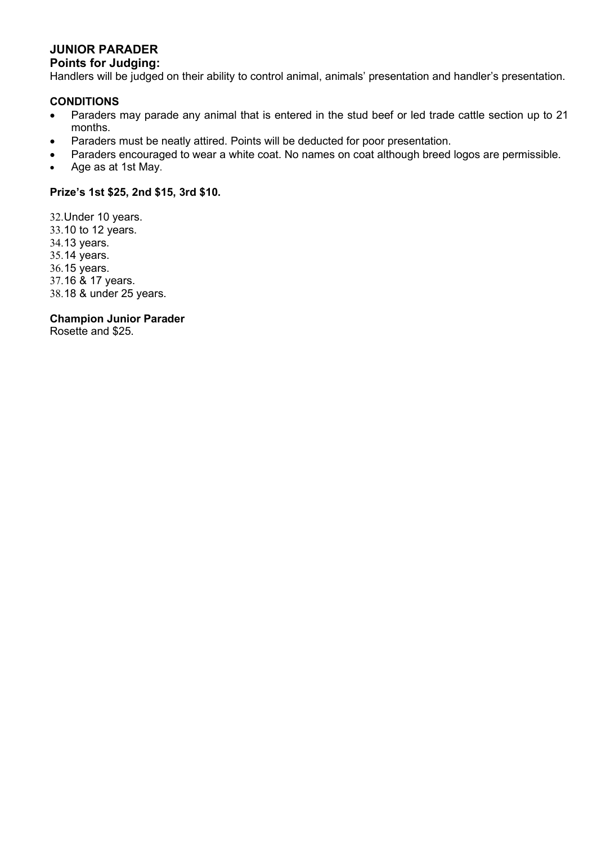# **JUNIOR PARADER**

## **Points for Judging:**

Handlers will be judged on their ability to control animal, animals' presentation and handler's presentation.

## **CONDITIONS**

- Paraders may parade any animal that is entered in the stud beef or led trade cattle section up to 21 months.
- Paraders must be neatly attired. Points will be deducted for poor presentation.
- Paraders encouraged to wear a white coat. No names on coat although breed logos are permissible.
- Age as at 1st May.

## **Prize's 1st \$25, 2nd \$15, 3rd \$10.**

32.Under 10 years. 33.10 to 12 years. 34.13 years. 35.14 years. 36.15 years. 37.16 & 17 years. 38.18 & under 25 years.

**Champion Junior Parader**

Rosette and \$25.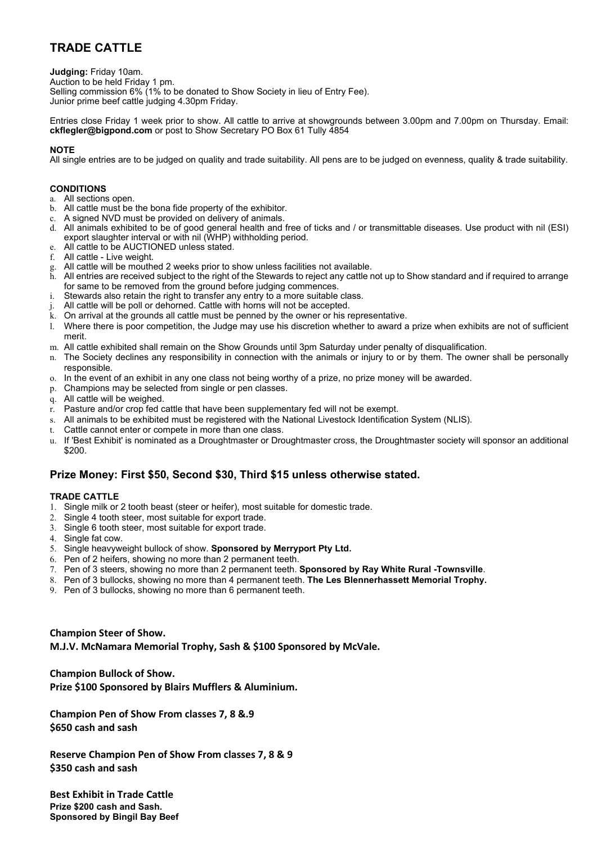# **TRADE CATTLE**

**Judging:** Friday 10am. Auction to be held Friday 1 pm. Selling commission 6% (1% to be donated to Show Society in lieu of Entry Fee). Junior prime beef cattle judging 4.30pm Friday.

Entries close Friday 1 week prior to show. All cattle to arrive at showgrounds between 3.00pm and 7.00pm on Thursday. Email: **ckflegler@bigpond.com** or post to Show Secretary PO Box 61 Tully 4854

#### **NOTE**

All single entries are to be judged on quality and trade suitability. All pens are to be judged on evenness, quality & trade suitability.

#### **CONDITIONS**

- a. All sections open.
- b. All cattle must be the bona fide property of the exhibitor.
- c. A signed NVD must be provided on delivery of animals.
- d. All animals exhibited to be of good general health and free of ticks and / or transmittable diseases. Use product with nil (ESI) export slaughter interval or with nil (WHP) withholding period.
- e. All cattle to be AUCTIONED unless stated.
- f. All cattle Live weight.
- g. All cattle will be mouthed 2 weeks prior to show unless facilities not available.
- h. All entries are received subject to the right of the Stewards to reject any cattle not up to Show standard and if required to arrange for same to be removed from the ground before judging commences.
- i. Stewards also retain the right to transfer any entry to a more suitable class.
- All cattle will be poll or dehorned. Cattle with horns will not be accepted.
- k. On arrival at the grounds all cattle must be penned by the owner or his representative.
- l. Where there is poor competition, the Judge may use his discretion whether to award a prize when exhibits are not of sufficient merit.
- m. All cattle exhibited shall remain on the Show Grounds until 3pm Saturday under penalty of disqualification.
- n. The Society declines any responsibility in connection with the animals or injury to or by them. The owner shall be personally responsible.
- o. In the event of an exhibit in any one class not being worthy of a prize, no prize money will be awarded.
- p. Champions may be selected from single or pen classes.
- q. All cattle will be weighed.
- r. Pasture and/or crop fed cattle that have been supplementary fed will not be exempt.
- s. All animals to be exhibited must be registered with the National Livestock Identification System (NLIS).
- t. Cattle cannot enter or compete in more than one class.
- u. If 'Best Exhibit' is nominated as a Droughtmaster or Droughtmaster cross, the Droughtmaster society will sponsor an additional \$200.

## **Prize Money: First \$50, Second \$30, Third \$15 unless otherwise stated.**

#### **TRADE CATTLE**

- 1. Single milk or 2 tooth beast (steer or heifer), most suitable for domestic trade.
- 2. Single 4 tooth steer, most suitable for export trade.
- 3. Single 6 tooth steer, most suitable for export trade.
- 4. Single fat cow.
- 5. Single heavyweight bullock of show. **Sponsored by Merryport Pty Ltd.**
- 6. Pen of 2 heifers, showing no more than 2 permanent teeth.
- 7. Pen of 3 steers, showing no more than 2 permanent teeth. **Sponsored by Ray White Rural -Townsville**.
- 8. Pen of 3 bullocks, showing no more than 4 permanent teeth. **The Les Blennerhassett Memorial Trophy.**
- 9. Pen of 3 bullocks, showing no more than 6 permanent teeth.

**Champion Steer of Show. M.J.V. McNamara Memorial Trophy, Sash & \$100 Sponsored by McVale.**

**Champion Bullock of Show. Prize \$100 Sponsored by Blairs Mufflers & Aluminium.**

**Champion Pen of Show From classes 7, 8 &.9 \$650 cash and sash**

**Reserve Champion Pen of Show From classes 7, 8 & 9 \$350 cash and sash**

**Best Exhibit in Trade Cattle Prize \$200 cash and Sash. Sponsored by Bingil Bay Beef**